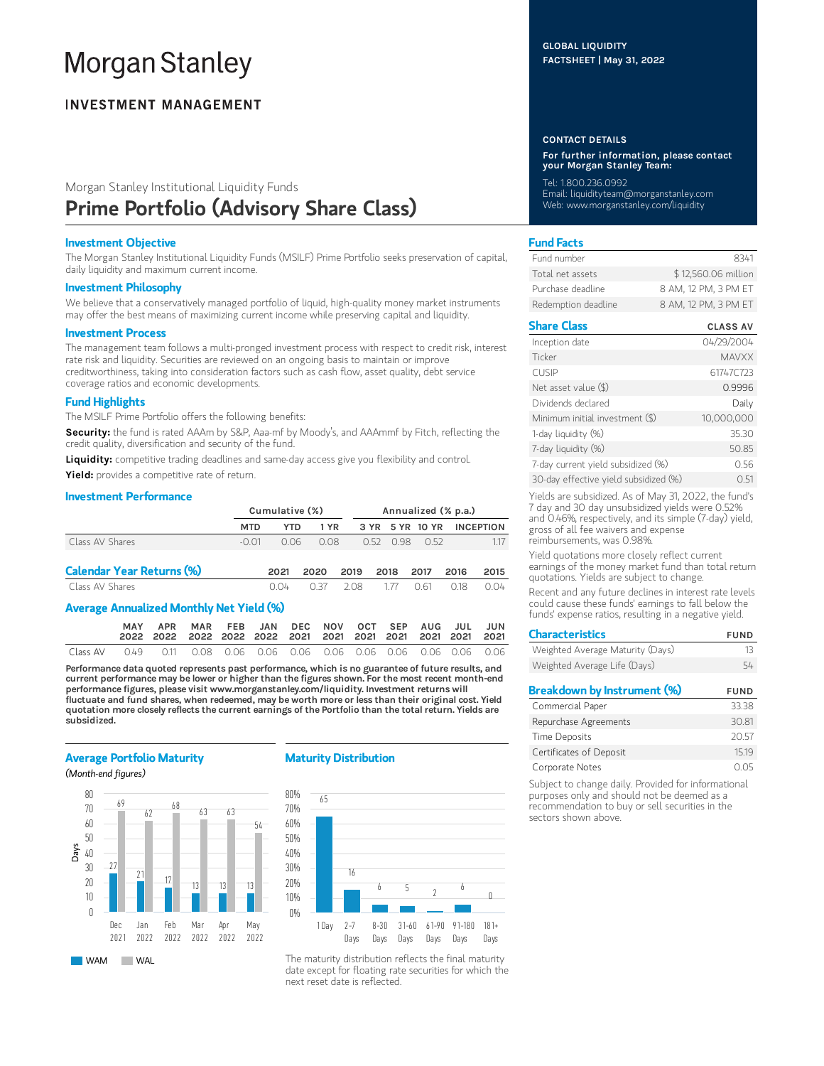# **Morgan Stanley**

# **INVESTMENT MANAGEMENT**

# Morgan Stanley Institutional Liquidity Funds Prime Portfolio (Advisory Share Class)

# Investment Objective

The Morgan Stanley Institutional Liquidity Funds (MSILF) Prime Portfolio seeks preservation of capital, daily liquidity and maximum current income.

## Investment Philosophy

We believe that a conservatively managed portfolio of liquid, high-quality money market instruments may offer the best means of maximizing current income while preserving capital and liquidity.

#### Investment Process

The management team follows a multi-pronged investment process with respect to credit risk, interest rate risk and liquidity. Securities are reviewed on an ongoing basis to maintain or improve creditworthiness, taking into consideration factors such as cash flow, asset quality, debt service coverage ratios and economic developments.

## Fund Highlights

The MSILF Prime Portfolio offers the following benefits:

Security: the fund is rated AAAm by S&P, Aaa-mf by Moody's, and AAAmmf by Fitch, reflecting the credit quality, diversification and security of the fund.

Liquidity: competitive trading deadlines and same-day access give you flexibility and control.

Yield: provides a competitive rate of return.

# Investment Performance

|                                  | Cumulative (%) |      |      |      | Annualized (% p.a.) |      |             |      |                           |
|----------------------------------|----------------|------|------|------|---------------------|------|-------------|------|---------------------------|
|                                  | <b>MTD</b>     | YTD. | 1 YR |      |                     |      |             |      | 3 YR 5 YR 10 YR INCEPTION |
| Class AV Shares                  | -O O1          | 0.06 | 0.08 |      |                     |      | 052 098 052 |      | 117                       |
| <b>Calendar Year Returns (%)</b> |                | 2021 | 2020 | 2019 |                     | 2018 | 2017        | 2016 | 2015                      |
| Class AV Shares                  |                | 0.04 | O 37 | 208  |                     | 177  | O 61        | 018  | 0.04                      |

## Average Annualized Monthly Net Yield (%)

|          | <b>MAY</b> |                                                                                   | APR MAR FEB JAN DEC NOV OCT SEP AUG JUL JUN |  |  |  |  |  |
|----------|------------|-----------------------------------------------------------------------------------|---------------------------------------------|--|--|--|--|--|
| Class AV |            | 0.49   0.11   0.08   0.06   0.06   0.06   0.06   0.06   0.06   0.06   0.06   0.06 |                                             |  |  |  |  |  |

Performance data quoted represents past performance, which is no guarantee of future results, and current performance may be lower or higher than the figures shown. For the most recent month-end performance figures, please visit www.morganstanley.com/liquidity. Investment returns will fluctuate and fund shares, when redeemed, may be worth more or less than their original cost. Yield quotation more closely reflects the current earnings of the Portfolio than the total return. Yields are subsidized.

#### Average Portfolio Maturity

(Month-end figures)



# Maturity Distribution



The maturity distribution reflects the final maturity date except for floating rate securities for which the next reset date is reflected.

# GLOBAL LIQUIDITY FACTSHEET | May 31, 2022

#### CONTACT DETAILS

For further information, please contact your Morgan Stanley Team:

Tel: 1.800.236.0992 Email: liquidityteam@morganstanley.com Web: www.morganstanley.com/liquidity

# Fund Facts

| Fund number         | 8341                 |
|---------------------|----------------------|
| Total net assets    | \$12,560.06 million  |
| Purchase deadline   | 8 AM, 12 PM, 3 PM ET |
| Redemption deadline | 8 AM, 12 PM, 3 PM ET |

# Share Class CLASS AV

| Inception date                        | 04/29/2004   |
|---------------------------------------|--------------|
| Ticker                                | <b>MAVXX</b> |
| <b>CUSIP</b>                          | 61747C723    |
| Net asset value (\$)                  | 0.9996       |
| Dividends declared                    | Daily        |
| Minimum initial investment (\$)       | 10,000,000   |
| 1-day liquidity (%)                   | 35.30        |
| 7-day liquidity (%)                   | 50.85        |
| 7-day current yield subsidized (%)    | 0.56         |
| 30-day effective yield subsidized (%) | O 51         |

Yields are subsidized. As of May 31, 2022, the fund's 7 day and 30 day unsubsidized yields were 0.52% and 0.46%, respectively, and its simple (7-day) yield, gross of all fee waivers and expense reimbursements, was 0.98%.

Yield quotations more closely reflect current earnings of the money market fund than total return quotations. Yields are subject to change.

Recent and any future declines in interest rate levels could cause these funds' earnings to fall below the funds' expense ratios, resulting in a negative yield.

| <b>Characteristics</b>             | <b>FUND</b> |  |  |
|------------------------------------|-------------|--|--|
| Weighted Average Maturity (Days)   | 13          |  |  |
| Weighted Average Life (Days)       | 54          |  |  |
| <b>Breakdown by Instrument (%)</b> | <b>FUND</b> |  |  |
| Commercial Paper                   | 33.38       |  |  |
| Repurchase Agreements              | 30.81       |  |  |
| <b>Time Deposits</b>               | 20.57       |  |  |
| Certificates of Deposit            | 15.19       |  |  |
| Corporate Notes                    | U.O5        |  |  |

Subject to change daily. Provided for informational purposes only and should not be deemed as a recommendation to buy or sell securities in the sectors shown above.